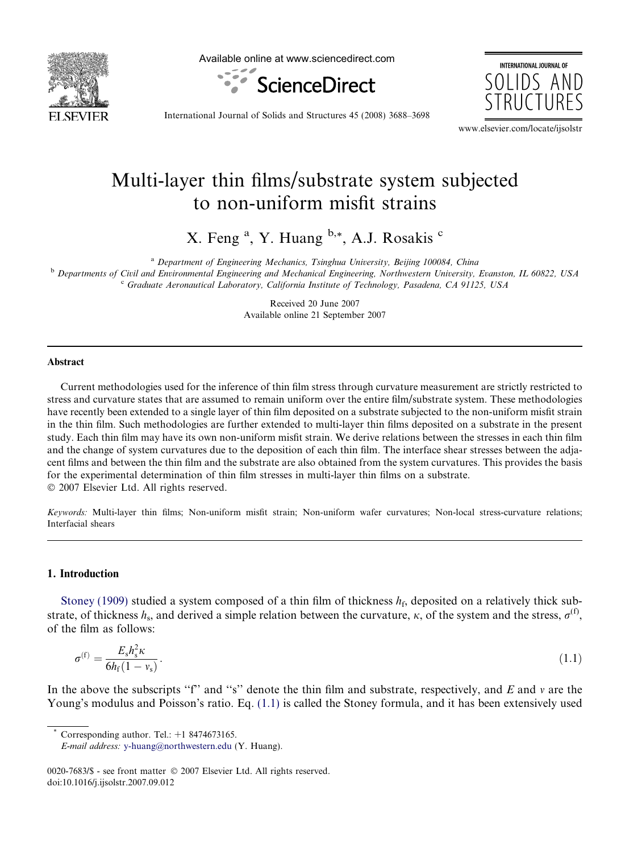

Available online at www.sciencedirect.com



**INTERNATIONAL JOURNAL OF** SOLIDS AND

International Journal of Solids and Structures 45 (2008) 3688–3698

www.elsevier.com/locate/ijsolstr

# Multi-layer thin films/substrate system subjected to non-uniform misfit strains

X. Feng<sup>a</sup>, Y. Huang <sup>b,\*</sup>, A.J. Rosakis <sup>c</sup>

<sup>a</sup> Department of Engineering Mechanics, Tsinghua University, Beijing 100084, China

**b** Departments of Civil and Environmental Engineering and Mechanical Engineering, Northwestern University, Evanston, IL 60822, USA <sup>c</sup> Graduate Aeronautical Laboratory, California Institute of Technology, Pasadena, CA 91125, USA

> Received 20 June 2007 Available online 21 September 2007

## Abstract

Current methodologies used for the inference of thin film stress through curvature measurement are strictly restricted to stress and curvature states that are assumed to remain uniform over the entire film/substrate system. These methodologies have recently been extended to a single layer of thin film deposited on a substrate subjected to the non-uniform misfit strain in the thin film. Such methodologies are further extended to multi-layer thin films deposited on a substrate in the present study. Each thin film may have its own non-uniform misfit strain. We derive relations between the stresses in each thin film and the change of system curvatures due to the deposition of each thin film. The interface shear stresses between the adjacent films and between the thin film and the substrate are also obtained from the system curvatures. This provides the basis for the experimental determination of thin film stresses in multi-layer thin films on a substrate.  $© 2007 Elsevier Ltd. All rights reserved.$ 

Keywords: Multi-layer thin films; Non-uniform misfit strain; Non-uniform wafer curvatures; Non-local stress-curvature relations; Interfacial shears

## 1. Introduction

[Stoney \(1909\)](#page-10-0) studied a system composed of a thin film of thickness  $h_f$ , deposited on a relatively thick substrate, of thickness  $h_s$ , and derived a simple relation between the curvature,  $\kappa$ , of the system and the stress,  $\sigma^{(f)}$ , of the film as follows:

$$
\sigma^{(f)} = \frac{E_s h_s^2 \kappa}{6h_f(1 - v_s)}.
$$
\n(1.1)

In the above the subscripts "f" and "s" denote the thin film and substrate, respectively, and  $E$  and  $\nu$  are the Young's modulus and Poisson's ratio. Eq. (1.1) is called the Stoney formula, and it has been extensively used

Corresponding author. Tel.:  $+1$  8474673165.

0020-7683/\$ - see front matter © 2007 Elsevier Ltd. All rights reserved. doi:10.1016/j.ijsolstr.2007.09.012

E-mail address: [y-huang@northwestern.edu](mailto:y-huang@northwestern.edu) (Y. Huang).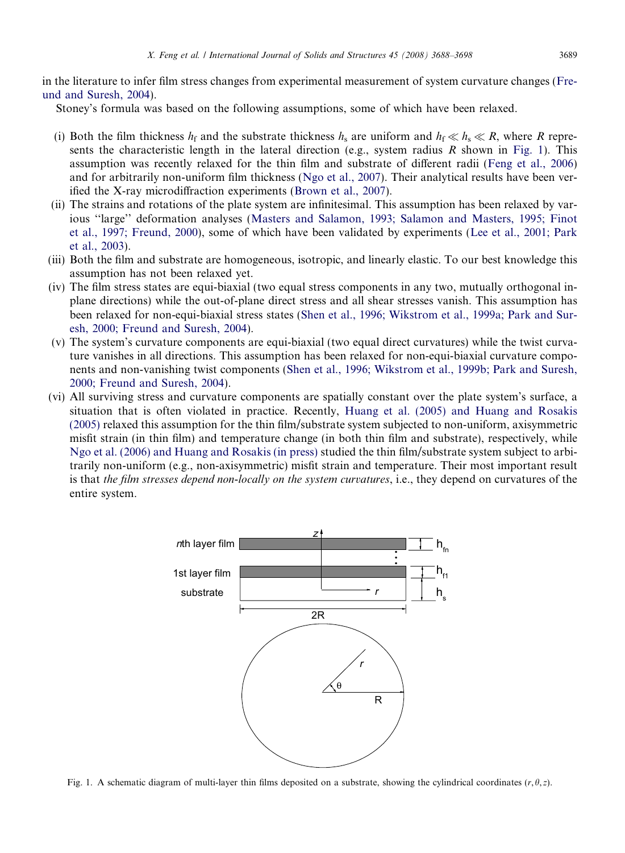<span id="page-1-0"></span>in the literature to infer film stress changes from experimental measurement of system curvature changes ([Fre](#page-9-0)[und and Suresh, 2004\)](#page-9-0).

Stoney's formula was based on the following assumptions, some of which have been relaxed.

- (i) Both the film thickness  $h_f$  and the substrate thickness  $h_s$  are uniform and  $h_f \ll h_s \ll R$ , where R represents the characteristic length in the lateral direction (e.g., system radius R shown in Fig. 1). This assumption was recently relaxed for the thin film and substrate of different radii ([Feng et al., 2006\)](#page-9-0) and for arbitrarily non-uniform film thickness ([Ngo et al., 2007\)](#page-10-0). Their analytical results have been verified the X-ray microdiffraction experiments ([Brown et al., 2007\)](#page-9-0).
- (ii) The strains and rotations of the plate system are infinitesimal. This assumption has been relaxed by various ''large'' deformation analyses ([Masters and Salamon, 1993; Salamon and Masters, 1995; Finot](#page-10-0) [et al., 1997; Freund, 2000](#page-10-0)), some of which have been validated by experiments ([Lee et al., 2001; Park](#page-10-0) [et al., 2003](#page-10-0)).
- (iii) Both the film and substrate are homogeneous, isotropic, and linearly elastic. To our best knowledge this assumption has not been relaxed yet.
- (iv) The film stress states are equi-biaxial (two equal stress components in any two, mutually orthogonal inplane directions) while the out-of-plane direct stress and all shear stresses vanish. This assumption has been relaxed for non-equi-biaxial stress states [\(Shen et al., 1996; Wikstrom et al., 1999a; Park and Sur](#page-10-0)[esh, 2000; Freund and Suresh, 2004](#page-10-0)).
- (v) The system's curvature components are equi-biaxial (two equal direct curvatures) while the twist curvature vanishes in all directions. This assumption has been relaxed for non-equi-biaxial curvature components and non-vanishing twist components ([Shen et al., 1996; Wikstrom et al., 1999b; Park and Suresh,](#page-10-0) [2000; Freund and Suresh, 2004](#page-10-0)).
- (vi) All surviving stress and curvature components are spatially constant over the plate system's surface, a situation that is often violated in practice. Recently, [Huang et al. \(2005\) and Huang and Rosakis](#page-9-0) [\(2005\)](#page-9-0) relaxed this assumption for the thin film/substrate system subjected to non-uniform, axisymmetric misfit strain (in thin film) and temperature change (in both thin film and substrate), respectively, while [Ngo et al. \(2006\) and Huang and Rosakis \(in press\)](#page-10-0) studied the thin film/substrate system subject to arbitrarily non-uniform (e.g., non-axisymmetric) misfit strain and temperature. Their most important result is that the film stresses depend non-locally on the system curvatures, i.e., they depend on curvatures of the entire system.



Fig. 1. A schematic diagram of multi-layer thin films deposited on a substrate, showing the cylindrical coordinates ( $r, \theta, z$ ).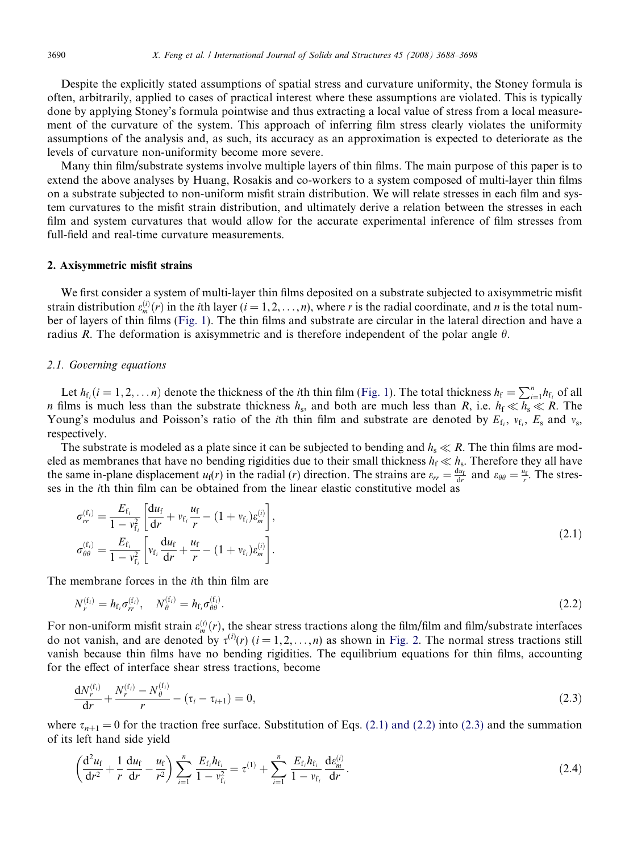<span id="page-2-0"></span>Despite the explicitly stated assumptions of spatial stress and curvature uniformity, the Stoney formula is often, arbitrarily, applied to cases of practical interest where these assumptions are violated. This is typically done by applying Stoney's formula pointwise and thus extracting a local value of stress from a local measurement of the curvature of the system. This approach of inferring film stress clearly violates the uniformity assumptions of the analysis and, as such, its accuracy as an approximation is expected to deteriorate as the levels of curvature non-uniformity become more severe.

Many thin film/substrate systems involve multiple layers of thin films. The main purpose of this paper is to extend the above analyses by Huang, Rosakis and co-workers to a system composed of multi-layer thin films on a substrate subjected to non-uniform misfit strain distribution. We will relate stresses in each film and system curvatures to the misfit strain distribution, and ultimately derive a relation between the stresses in each film and system curvatures that would allow for the accurate experimental inference of film stresses from full-field and real-time curvature measurements.

#### 2. Axisymmetric misfit strains

We first consider a system of multi-layer thin films deposited on a substrate subjected to axisymmetric misfit strain distribution  $\varepsilon_m^{(i)}(r)$  in the *i*th layer (*i* = 1, 2, ...,*n*), where *r* is the radial coordinate, and *n* is the total number of layers of thin films [\(Fig. 1](#page-1-0)). The thin films and substrate are circular in the lateral direction and have a radius R. The deformation is axisymmetric and is therefore independent of the polar angle  $\theta$ .

# 2.1. Governing equations

Let  $h_{f_i}$   $(i = 1, 2, ..., n)$  denote the thickness of the *i*th thin film ([Fig. 1](#page-1-0)). The total thickness  $h_f = \sum_{i=1}^n h_{f_i}$  of all n films is much less than the substrate thickness  $h_s$ , and both are much less than R, i.e.  $h_f \ll h_s \ll R$ . The Young's modulus and Poisson's ratio of the *i*th thin film and substrate are denoted by  $E_f$ ,  $v_f$ ,  $E_s$  and  $v_s$ , respectively.

The substrate is modeled as a plate since it can be subjected to bending and  $h_s \ll R$ . The thin films are modeled as membranes that have no bending rigidities due to their small thickness  $h_f \ll h_s$ . Therefore they all have the same in-plane displacement  $u_f(r)$  in the radial (*r*) direction. The strains are  $\varepsilon_{rr} = \frac{du_f}{dr}$  and  $\varepsilon_{\theta\theta} = \frac{u_f}{r}$ . The stresses in the ith thin film can be obtained from the linear elastic constitutive model as

$$
\sigma_{rr}^{(f_i)} = \frac{E_{f_i}}{1 - v_{f_i}^2} \left[ \frac{du_f}{dr} + v_{f_i} \frac{u_f}{r} - (1 + v_{f_i}) \varepsilon_m^{(i)} \right],
$$
\n
$$
\sigma_{\theta\theta}^{(f_i)} = \frac{E_{f_i}}{1 - v_{f_i}^2} \left[ v_{f_i} \frac{du_f}{dr} + \frac{u_f}{r} - (1 + v_{f_i}) \varepsilon_m^{(i)} \right].
$$
\n(2.1)

The membrane forces in the ith thin film are

$$
N_r^{(f_i)} = h_{f_i} \sigma_r^{(f_i)}, \quad N_\theta^{(f_i)} = h_{f_i} \sigma_{\theta\theta}^{(f_i)}.
$$
\n(2.2)

For non-uniform misfit strain  $\varepsilon_m^{(i)}(r)$ , the shear stress tractions along the film/film and film/substrate interfaces do not vanish, and are denoted by  $\tau^{(i)}(r)$   $(i = 1, 2, ..., n)$  as shown in [Fig. 2.](#page-3-0) The normal stress tractions still vanish because thin films have no bending rigidities. The equilibrium equations for thin films, accounting for the effect of interface shear stress tractions, become

$$
\frac{dN_r^{(f_i)}}{dr} + \frac{N_r^{(f_i)} - N_\theta^{(f_i)}}{r} - (\tau_i - \tau_{i+1}) = 0,
$$
\n(2.3)

where  $\tau_{n+1} = 0$  for the traction free surface. Substitution of Eqs. (2.1) and (2.2) into (2.3) and the summation of its left hand side yield

$$
\left(\frac{d^2u_f}{dr^2} + \frac{1}{r}\frac{du_f}{dr} - \frac{u_f}{r^2}\right)\sum_{i=1}^n \frac{E_{f_i}h_{f_i}}{1 - v_{f_i}^2} = \tau^{(1)} + \sum_{i=1}^n \frac{E_{f_i}h_{f_i}}{1 - v_{f_i}}\frac{de_{m}^{(i)}}{dr}.
$$
\n(2.4)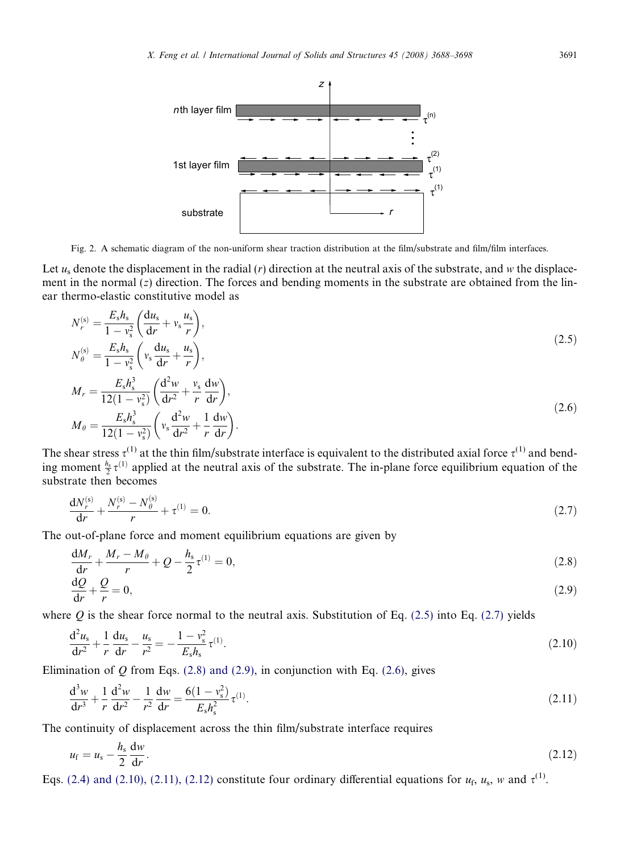<span id="page-3-0"></span>

Fig. 2. A schematic diagram of the non-uniform shear traction distribution at the film/substrate and film/film interfaces.

Let  $u_s$  denote the displacement in the radial  $(r)$  direction at the neutral axis of the substrate, and w the displacement in the normal  $(z)$  direction. The forces and bending moments in the substrate are obtained from the linear thermo-elastic constitutive model as

$$
N_r^{(s)} = \frac{E_s h_s}{1 - v_s^2} \left( \frac{du_s}{dr} + v_s \frac{u_s}{r} \right),
$$
  
\n
$$
N_\theta^{(s)} = \frac{E_s h_s}{1 - v_s^2} \left( v_s \frac{du_s}{dr} + \frac{u_s}{r} \right),
$$
  
\n
$$
M_r = \frac{E_s h_s^3}{12(1 - v_s^2)} \left( \frac{d^2 w}{dr^2} + \frac{v_s}{r} \frac{dw}{dr} \right),
$$
  
\n
$$
M_\theta = \frac{E_s h_s^3}{12(1 - v_s^2)} \left( v_s \frac{d^2 w}{dr^2} + \frac{1}{r} \frac{dw}{dr} \right).
$$
\n(2.6)

The shear stress  $\tau^{(1)}$  at the thin film/substrate interface is equivalent to the distributed axial force  $\tau^{(1)}$  and bending moment  $\frac{h_s}{2}\tau^{(1)}$  applied at the neutral axis of the substrate. The in-plane force equilibrium equation of the substrate then becomes

$$
\frac{dN_r^{(s)}}{dr} + \frac{N_r^{(s)} - N_\theta^{(s)}}{r} + \tau^{(1)} = 0.
$$
\n(2.7)

The out-of-plane force and moment equilibrium equations are given by

r

$$
\frac{dM_r}{dr} + \frac{M_r - M_\theta}{r} + Q - \frac{h_s}{2} \tau^{(1)} = 0,
$$
\n(2.8)

$$
\frac{\mathrm{d}Q}{\mathrm{d}r} + \frac{Q}{r} = 0,\tag{2.9}
$$

where O is the shear force normal to the neutral axis. Substitution of Eq. (2.5) into Eq. (2.7) yields

$$
\frac{d^2 u_s}{dr^2} + \frac{1}{r} \frac{du_s}{dr} - \frac{u_s}{r^2} = -\frac{1 - v_s^2}{E_s h_s} \tau^{(1)}.
$$
\n(2.10)

Elimination of  $Q$  from Eqs. (2.8) and (2.9), in conjunction with Eq. (2.6), gives

$$
\frac{d^3w}{dr^3} + \frac{1}{r}\frac{d^2w}{dr^2} - \frac{1}{r^2}\frac{dw}{dr} = \frac{6(1 - v_s^2)}{E_s h_s^2} \tau^{(1)}.
$$
\n(2.11)

The continuity of displacement across the thin film/substrate interface requires

$$
u_{\rm f} = u_{\rm s} - \frac{h_{\rm s}}{2} \frac{\mathrm{d}w}{\mathrm{d}r}.
$$
\n
$$
(2.12)
$$

Eqs. [\(2.4\) and \(2.10\), \(2.11\), \(2.12\)](#page-2-0) constitute four ordinary differential equations for  $u_f$ ,  $u_s$ , w and  $\tau$ <sup>(1)</sup>.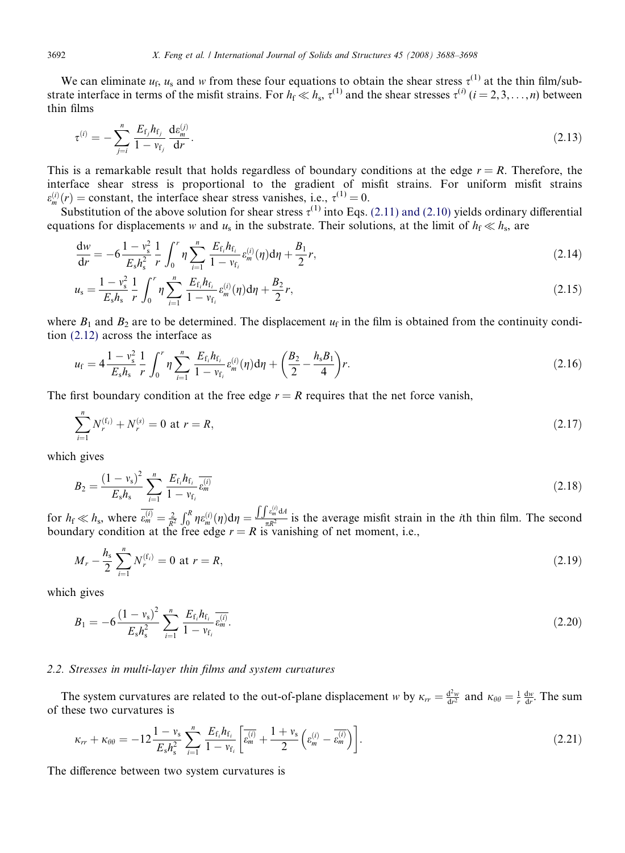We can eliminate  $u_f$ ,  $u_s$  and w from these four equations to obtain the shear stress  $\tau^{(1)}$  at the thin film/substrate interface in terms of the misfit strains. For  $h_f \ll h_s$ ,  $\tau^{(1)}$  and the shear stresses  $\tau^{(i)}$   $(i = 2, 3, \ldots, n)$  between thin films

$$
\tau^{(i)} = -\sum_{j=i}^{n} \frac{E_{\rm f_j} h_{\rm f_j}}{1 - v_{\rm f_j}} \frac{\mathrm{d} \varepsilon_m^{(j)}}{\mathrm{d} r}.
$$
\n(2.13)

This is a remarkable result that holds regardless of boundary conditions at the edge  $r = R$ . Therefore, the interface shear stress is proportional to the gradient of misfit strains. For uniform misfit strains  $\varepsilon_m^{(i)}(r) = \text{constant}$ , the interface shear stress vanishes, i.e.,  $\tau^{(1)} = 0$ .

Substitution of the above solution for shear stress  $\tau^{(1)}$  into Eqs. [\(2.11\) and \(2.10\)](#page-3-0) yields ordinary differential equations for displacements w and  $u_s$  in the substrate. Their solutions, at the limit of  $h_f \ll h_s$ , are

$$
\frac{dw}{dr} = -6\frac{1-v_s^2}{E_s h_s^2} \frac{1}{r} \int_0^r \eta \sum_{i=1}^n \frac{E_{f_i} h_{f_i}}{1 - v_{f_i}} \varepsilon_m^{(i)}(\eta) d\eta + \frac{B_1}{2}r,
$$
\n(2.14)

$$
u_{s} = \frac{1 - v_{s}^{2}}{E_{s} h_{s}} \frac{1}{r} \int_{0}^{r} \eta \sum_{i=1}^{n} \frac{E_{f_{i}} h_{f_{i}}}{1 - v_{f_{i}}} \varepsilon_{m}^{(i)}(\eta) d\eta + \frac{B_{2}}{2} r,
$$
\n(2.15)

where  $B_1$  and  $B_2$  are to be determined. The displacement  $u_f$  in the film is obtained from the continuity condition [\(2.12\)](#page-3-0) across the interface as

$$
u_{\rm f} = 4 \frac{1 - v_{\rm s}^2}{E_{\rm s} h_{\rm s}} \frac{1}{r} \int_0^r \eta \sum_{i=1}^n \frac{E_{\rm f_i} h_{\rm f_i}}{1 - v_{\rm f_i}} \varepsilon_m^{(i)}(\eta) d\eta + \left(\frac{B_2}{2} - \frac{h_{\rm s} B_1}{4}\right) r. \tag{2.16}
$$

The first boundary condition at the free edge  $r = R$  requires that the net force vanish,

$$
\sum_{i=1}^{n} N_r^{(f_i)} + N_r^{(s)} = 0 \text{ at } r = R,
$$
\n(2.17)

which gives

$$
B_2 = \frac{(1 - v_s)^2}{E_s h_s} \sum_{i=1}^n \frac{E_{\rm f_i} h_{\rm f_i}}{1 - v_{\rm f_i}} \overline{\epsilon_m^{(i)}}
$$
(2.18)

for  $h_{\rm f} \ll h_{\rm s}$ , where  $\varepsilon_m^{(i)} = \frac{2}{R^2}$  $\int_0^R \eta \varepsilon_m^{(i)}(\eta) d\eta =$  $\frac{\int \int e^{(i)}_m \, dA}{\pi R^2}$  is the average misfit strain in the *i*th thin film. The second boundary condition at the free edge  $r = R$  is vanishing of net moment, i.e.,

$$
M_r - \frac{h_s}{2} \sum_{i=1}^n N_r^{(f_i)} = 0 \text{ at } r = R,
$$
\n(2.19)

which gives

$$
B_1 = -6\frac{(1 - v_s)^2}{E_s h_s^2} \sum_{i=1}^n \frac{E_{\rm f_i} h_{\rm f_i}}{1 - v_{\rm f_i}} \frac{E_{\rm f_i}}{e_m}.
$$
 (2.20)

# 2.2. Stresses in multi-layer thin films and system curvatures

The system curvatures are related to the out-of-plane displacement w by  $\kappa_{rr} = \frac{d^2w}{dr^2}$  and  $\kappa_{\theta\theta} = \frac{1}{r} \frac{dw}{dr}$ . The sum of these two curvatures is

$$
\kappa_{rr} + \kappa_{\theta\theta} = -12 \frac{1 - v_s}{E_s h_s^2} \sum_{i=1}^n \frac{E_{\rm f_i} h_{\rm f_i}}{1 - v_{\rm f_i}} \left[ \overline{\varepsilon_m^{(i)}} + \frac{1 + v_s}{2} \left( \varepsilon_m^{(i)} - \overline{\varepsilon_m^{(i)}} \right) \right]. \tag{2.21}
$$

The difference between two system curvatures is

<span id="page-4-0"></span>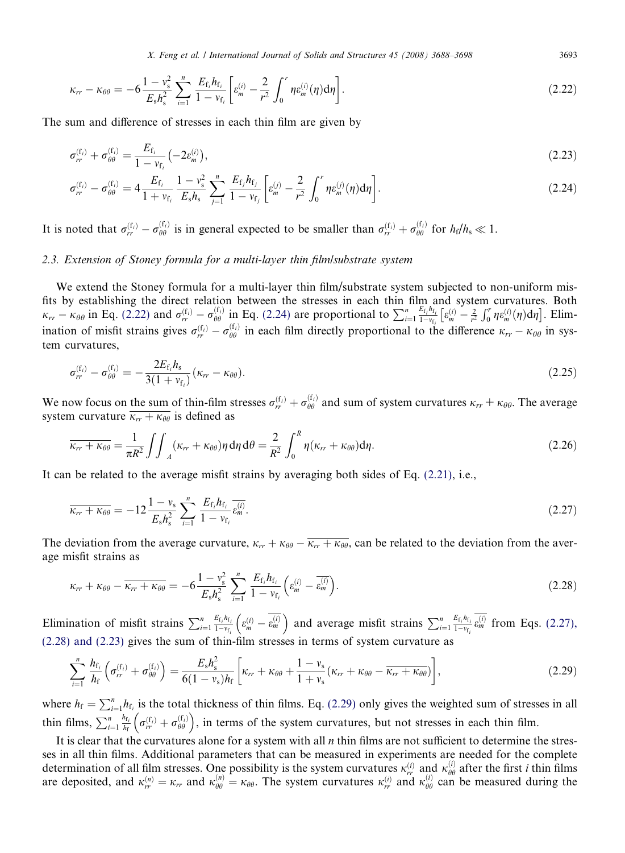X. Feng et al. / International Journal of Solids and Structures 45 (2008) 3688–3698 3693

<span id="page-5-0"></span>
$$
\kappa_{rr} - \kappa_{\theta\theta} = -6\frac{1 - v_s^2}{E_s h_s^2} \sum_{i=1}^n \frac{E_{\rm f_i} h_{\rm f_i}}{1 - v_{\rm f_i}} \left[ \varepsilon_m^{(i)} - \frac{2}{r^2} \int_0^r \eta \varepsilon_m^{(i)}(\eta) d\eta \right]. \tag{2.22}
$$

The sum and difference of stresses in each thin film are given by

$$
\sigma_{rr}^{(f_i)} + \sigma_{\theta\theta}^{(f_i)} = \frac{E_{f_i}}{1 - v_{f_i}} \left( -2\varepsilon_m^{(i)} \right),\tag{2.23}
$$

$$
\sigma_{rr}^{(f_i)} - \sigma_{\theta\theta}^{(f_i)} = 4 \frac{E_{f_i}}{1 + v_{f_i}} \frac{1 - v_s^2}{E_s h_s} \sum_{j=1}^n \frac{E_{f_j} h_{f_j}}{1 - v_{f_j}} \left[ \varepsilon_m^{(j)} - \frac{2}{r^2} \int_0^r \eta \varepsilon_m^{(j)}(\eta) d\eta \right].
$$
 (2.24)

It is noted that  $\sigma_{rr}^{(f_i)} - \sigma_{\theta\theta}^{(f_i)}$  is in general expected to be smaller than  $\sigma_{rr}^{(f_i)} + \sigma_{\theta\theta}^{(f_i)}$  for  $h_f/h_s \ll 1$ .

# 2.3. Extension of Stoney formula for a multi-layer thin film/substrate system

We extend the Stoney formula for a multi-layer thin film/substrate system subjected to non-uniform misfits by establishing the direct relation between the stresses in each thin film and system curvatures. Both  $\kappa_{rr} - \kappa_{\theta\theta}$  in Eq. [\(2.22\)](#page-4-0) and  $\sigma_{rr}^{(f_i)} - \sigma_{\theta\theta}^{(f_i)}$  in Eq. (2.24) are proportional to  $\sum_{i=1}^{n} \frac{E_{f_i}h_{f_i}}{1-v_{f_i}} \left[\varepsilon_m^{(i)} - \frac{2}{r^2}\right]$  $\left[\varepsilon_m^{(i)} - \frac{2}{r^2}\int_0^r \eta \varepsilon_m^{(i)}(\eta) d\eta\right]$ . Elimination of misfit strains gives  $\sigma_{rr}^{(f_i)} - \sigma_{\theta\theta}^{(f_i)}$  in each film directly proportional to the difference  $\kappa_{rr} - \kappa_{\theta\theta}$  in system curvatures,

$$
\sigma_{rr}^{(f_i)} - \sigma_{\theta\theta}^{(f_i)} = -\frac{2E_{f_i}h_s}{3(1 + v_{f_i})}(\kappa_{rr} - \kappa_{\theta\theta}).
$$
\n(2.25)

We now focus on the sum of thin-film stresses  $\sigma_{rr}^{(f_i)} + \sigma_{\theta\theta}^{(f_i)}$  and sum of system curvatures  $\kappa_{rr} + \kappa_{\theta\theta}$ . The average system curvature  $\overline{\kappa_{rr} + \kappa_{\theta\theta}}$  is defined as

$$
\overline{\kappa_{rr} + \kappa_{\theta\theta}} = \frac{1}{\pi R^2} \iint_A (\kappa_{rr} + \kappa_{\theta\theta}) \eta \, d\eta \, d\theta = \frac{2}{R^2} \int_0^R \eta(\kappa_{rr} + \kappa_{\theta\theta}) d\eta. \tag{2.26}
$$

It can be related to the average misfit strains by averaging both sides of Eq. [\(2.21\)](#page-4-0), i.e.,

$$
\overline{\kappa_{rr} + \kappa_{\theta\theta}} = -12 \frac{1 - v_s}{E_s h_s^2} \sum_{i=1}^n \frac{E_{\rm f_i} h_{\rm f_i}}{1 - v_{\rm f_i}} \overline{\epsilon_{m}^{(i)}}.
$$
\n(2.27)

The deviation from the average curvature,  $\kappa_{rr} + \kappa_{\theta\theta} - \overline{\kappa_{rr} + \kappa_{\theta\theta}}$ , can be related to the deviation from the average misfit strains as

$$
\kappa_{rr} + \kappa_{\theta\theta} - \overline{\kappa_{rr} + \kappa_{\theta\theta}} = -6\frac{1 - v_s^2}{E_s h_s^2} \sum_{i=1}^n \frac{E_{f_i} h_{f_i}}{1 - v_{f_i}} \left(\varepsilon_m^{(i)} - \overline{\varepsilon_m^{(i)}}\right).
$$
 (2.28)

Elimination of misfit strains  $\sum_{i=1}^{n} \frac{E_{f_i} h_{f_i}}{1-v_{f_i}} \left( \varepsilon_m^{(i)} - \overline{\varepsilon_m^{(i)}} \right)$  and average misfit strains  $\sum_{i=1}^{n} \frac{E_{f_i} h_{f_i}}{1-v_{f_i}} \overline{\varepsilon_m^{(i)}}$  from Eqs. (2.27), (2.28) and (2.23) gives the sum of thin-film stresses in terms of system curvature as

$$
\sum_{i=1}^{n} \frac{h_{f_i}}{h_f} \left( \sigma_{rr}^{(f_i)} + \sigma_{\theta\theta}^{(f_i)} \right) = \frac{E_s h_s^2}{6(1 - v_s)h_f} \left[ \kappa_{rr} + \kappa_{\theta\theta} + \frac{1 - v_s}{1 + v_s} (\kappa_{rr} + \kappa_{\theta\theta} - \overline{\kappa_{rr} + \kappa_{\theta\theta}}) \right],
$$
\n(2.29)

where  $h_f = \sum_{i=1}^n h_{f_i}$  is the total thickness of thin films. Eq. (2.29) only gives the weighted sum of stresses in all thin films,  $\sum_{i=1}^{n} \frac{h_{f_i}}{h_f} \left( \sigma_{rr}^{(f_i)} + \sigma_{\theta\theta}^{(f_i)} \right)$ , in terms of the system curvatures, but not stresses in each thin film.

It is clear that the curvatures alone for a system with all  $n$  thin films are not sufficient to determine the stresses in all thin films. Additional parameters that can be measured in experiments are needed for the complete determination of all film stresses. One possibility is the system curvatures  $\kappa_n^{(i)}$  and  $\kappa_{\theta\theta}^{(i)}$  after the first *i* thin films are deposited, and  $\kappa_{rr}^{(n)} = \kappa_{rr}$  and  $\kappa_{\theta\theta}^{(n)} = \kappa_{\theta\theta}$ . The system curvatures  $\kappa_{rr}^{(i)}$  and  $\kappa_{\theta\theta}^{(i)}$  can be measured during the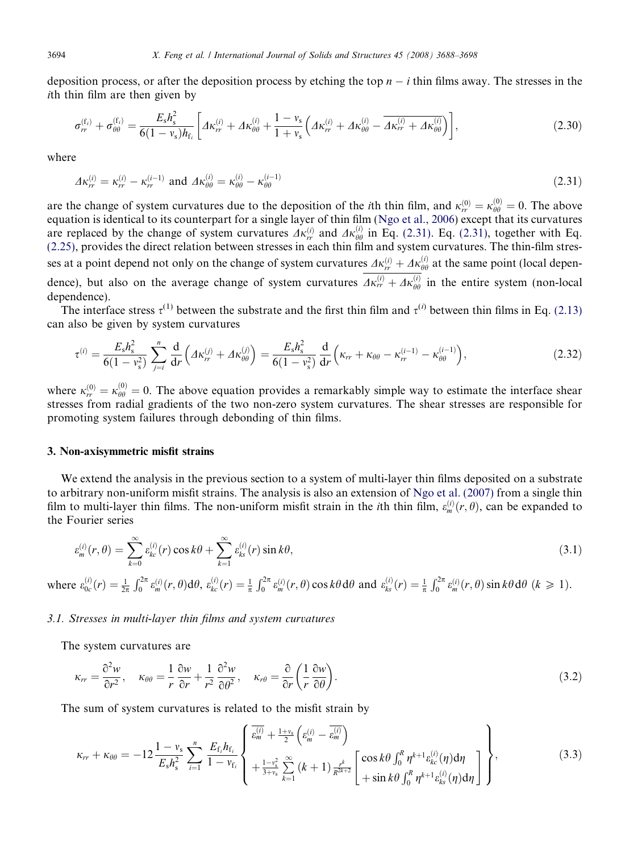deposition process, or after the deposition process by etching the top  $n - i$  thin films away. The stresses in the ith thin film are then given by

$$
\sigma_{rr}^{(f_i)} + \sigma_{\theta\theta}^{(f_i)} = \frac{E_s h_s^2}{6(1 - v_s)h_{f_i}} \left[ \Delta\kappa_{rr}^{(i)} + \Delta\kappa_{\theta\theta}^{(i)} + \frac{1 - v_s}{1 + v_s} \left( \Delta\kappa_{rr}^{(i)} + \Delta\kappa_{\theta\theta}^{(i)} - \overline{\Delta\kappa_{rr}^{(i)} + \Delta\kappa_{\theta\theta}^{(i)}} \right) \right],
$$
(2.30)

where

$$
4\kappa_{rr}^{(i)} = \kappa_{rr}^{(i)} - \kappa_{rr}^{(i-1)} \text{ and } 4\kappa_{\theta\theta}^{(i)} = \kappa_{\theta\theta}^{(i)} - \kappa_{\theta\theta}^{(i-1)} \tag{2.31}
$$

are the change of system curvatures due to the deposition of the *i*th thin film, and  $\kappa_{rr}^{(0)} = \kappa_{\theta\theta}^{(0)} = 0$ . The above equation is identical to its counterpart for a single layer of thin film [\(Ngo et al., 2006](#page-10-0)) except that its curvatures are replaced by the change of system curvatures  $\Delta \kappa_{rr}^{(i)}$  and  $\Delta \kappa_{\theta\theta}^{(i)}$  in Eq. (2.31). Eq. (2.31), together with Eq. [\(2.25\),](#page-5-0) provides the direct relation between stresses in each thin film and system curvatures. The thin-film stresses at a point depend not only on the change of system curvatures  $\Delta\kappa_{rr}^{(i)} + \Delta\kappa_{\theta\theta}^{(i)}$  at the same point (local dependence), but also on the average change of system curvatures  $\Delta \kappa_{rr}^{(i)} + \Delta \kappa_{\theta\theta}^{(i)}$  in the entire system (non-local dependence).

The interface stress  $\tau^{(1)}$  between the substrate and the first thin film and  $\tau^{(i)}$  between thin films in Eq. [\(2.13\)](#page-4-0) can also be given by system curvatures

$$
\tau^{(i)} = \frac{E_s h_s^2}{6(1 - v_s^2)} \sum_{j=i}^n \frac{d}{dr} \left( A \kappa_{rr}^{(j)} + A \kappa_{\theta\theta}^{(j)} \right) = \frac{E_s h_s^2}{6(1 - v_s^2)} \frac{d}{dr} \left( \kappa_{rr} + \kappa_{\theta\theta} - \kappa_{rr}^{(i-1)} - \kappa_{\theta\theta}^{(i-1)} \right),\tag{2.32}
$$

where  $\kappa_{rr}^{(0)} = \kappa_{\theta\theta}^{(0)} = 0$ . The above equation provides a remarkably simple way to estimate the interface shear stresses from radial gradients of the two non-zero system curvatures. The shear stresses are responsible for promoting system failures through debonding of thin films.

# 3. Non-axisymmetric misfit strains

We extend the analysis in the previous section to a system of multi-layer thin films deposited on a substrate to arbitrary non-uniform misfit strains. The analysis is also an extension of [Ngo et al. \(2007\)](#page-10-0) from a single thin film to multi-layer thin films. The non-uniform misfit strain in the *i*th thin film,  $\varepsilon_m^{(i)}(r, \theta)$ , can be expanded to the Fourier series

$$
\varepsilon_m^{(i)}(r,\theta) = \sum_{k=0}^{\infty} \varepsilon_{kc}^{(i)}(r) \cos k\theta + \sum_{k=1}^{\infty} \varepsilon_{ks}^{(i)}(r) \sin k\theta,
$$
\n(3.1)

where  $\varepsilon_{0c}^{(i)}(r) = \frac{1}{2\pi}$  $\int_0^{2\pi} \varepsilon_m^{(i)}(r,\theta) d\theta, \ \varepsilon_{kc}^{(i)}(r) = \frac{1}{\pi}$  $\int_0^{2\pi} \varepsilon_m^{(i)}(r,\theta) \cos k\theta \, d\theta$  and  $\varepsilon_{ks}^{(i)}(r) = \frac{1}{\pi}$  $\int_0^{2\pi} \varepsilon_m^{(i)}(r,\theta) \sin k\theta \, d\theta \, (k \geq 1).$ 

## 3.1. Stresses in multi-layer thin films and system curvatures

The system curvatures are

$$
\kappa_{rr} = \frac{\partial^2 w}{\partial r^2}, \quad \kappa_{\theta\theta} = \frac{1}{r} \frac{\partial w}{\partial r} + \frac{1}{r^2} \frac{\partial^2 w}{\partial \theta^2}, \quad \kappa_{r\theta} = \frac{\partial}{\partial r} \left( \frac{1}{r} \frac{\partial w}{\partial \theta} \right).
$$
 (3.2)

The sum of system curvatures is related to the misfit strain by

$$
\kappa_{rr} + \kappa_{\theta\theta} = -12 \frac{1 - v_s}{E_s h_s^2} \sum_{i=1}^n \frac{E_{f_i} h_{f_i}}{1 - v_{f_i}} \begin{Bmatrix} \frac{\overline{\varepsilon_{m}^{(i)}}}{\overline{\varepsilon_{m}^{(i)}}} + \frac{1 + v_s}{2} \left( \varepsilon_{m}^{(i)} - \overline{\varepsilon_{m}^{(i)}} \right) \\ + \frac{1 - v_s^2}{3 + v_s} \sum_{k=1}^\infty \left( k + 1 \right) \frac{1}{R^{2k+2}} \begin{bmatrix} \cos k\theta \int_0^R \eta^{k+1} \varepsilon_{kc}^{(i)}(\eta) d\eta \\ + \sin k\theta \int_0^R \eta^{k+1} \varepsilon_{ks}^{(i)}(\eta) d\eta \end{bmatrix} \end{Bmatrix},
$$
(3.3)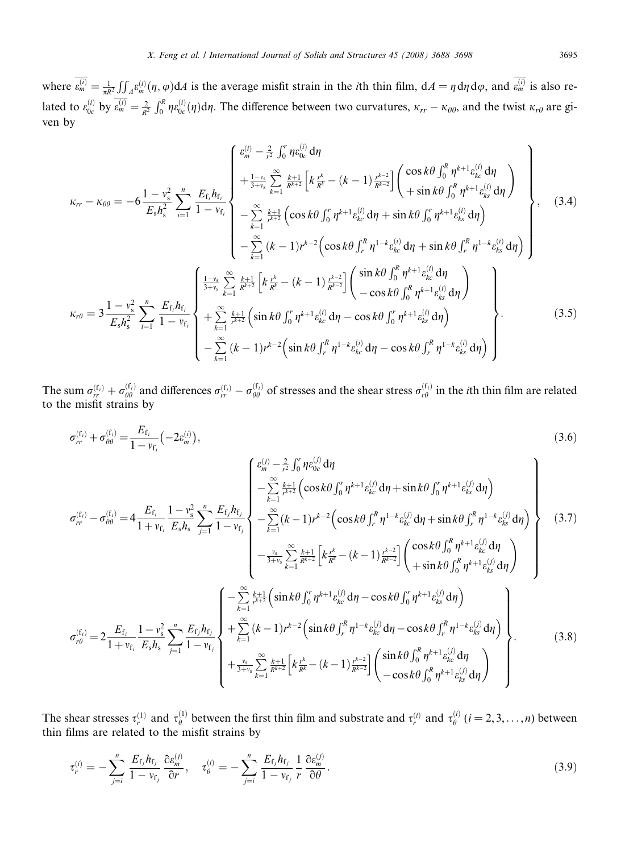where  $\varepsilon_m^{(i)} = \frac{1}{\pi R^2}$  $\iint_A \varepsilon_m^{(i)}(\eta, \varphi) dA$  is the average misfit strain in the *i*th thin film,  $dA = \eta d\eta d\varphi$ , and  $\overline{\varepsilon_m^{(i)}}$  is also related to  $\varepsilon_{0c}^{(i)}$  by  $\varepsilon_m^{(i)} = \frac{2}{R^2}$  $\int_0^R \eta \varepsilon_{0c}^{(i)}(\eta) d\eta$ . The difference between two curvatures,  $\kappa_{rr} - \kappa_{\theta\theta}$ , and the twist  $\kappa_{r\theta}$  are given by

$$
\kappa_{rr} - \kappa_{\theta\theta} = -6 \frac{1 - v_s^2}{E_s h_s^2} \sum_{i=1}^n \frac{E_{f_i} h_{f_i}}{1 - v_{f_i}} \begin{cases} \frac{e_{m}^{(i)} - \frac{2}{r^2} \int_0^r \eta e_{0c}^{(i)} d\eta \\ + \frac{1 - v_s}{3 + v_s} \sum_{k=1}^{\infty} \frac{k+1}{R^{k+2}} \left[ k \frac{r^k}{R^k} - (k-1) \frac{r^{k-2}}{R^{k-2}} \right] \left( \frac{\cos k\theta \int_0^R \eta^{k+1} e_{kc}^{(i)} d\eta}{1 + \sin k\theta \int_0^R \eta^{k+1} e_{ks}^{(i)} d\eta} \right) \\ - \sum_{k=1}^{\infty} \frac{k+1}{r^{k+2}} \left( \cos k\theta \int_0^r \eta^{k+1} e_{kc}^{(i)} d\eta + \sin k\theta \int_0^r \eta^{k+1} e_{ks}^{(i)} d\eta \right) \\ - \sum_{k=1}^{\infty} (k-1) r^{k-2} \left( \cos k\theta \int_r^R \eta^{1-k} e_{kc}^{(i)} d\eta + \sin k\theta \int_r^R \eta^{1-k} e_{ks}^{(i)} d\eta \right) \end{cases}, \quad (3.4)
$$
  

$$
\kappa_{r\theta} = 3 \frac{1 - v_s^2}{E_s h_s^2} \sum_{i=1}^n \frac{E_{f_i} h_{f_i}}{1 - v_{f_i}} \begin{cases} \frac{1 - v_s}{3 + v_s} \sum_{k=1}^{\infty} \frac{k+1}{R^{k+2}} \left[ k \frac{r^k}{R^k} - (k-1) \frac{r^{k-2}}{R^{k-2}} \right] \left( \frac{\sin k\theta \int_0^R \eta^{k+1} e_{kc}^{(i)} d\eta}{-\cos k\theta \int_0^R \eta^{k+1} e_{ks}^{(i)} d\eta} \right) \\ - \sum_{k=1}^{\infty} (k-1) r^{k-2} \left( \sin k\theta \int_r^R \eta^{1-k} e_{kc}^{(i)} d\eta - \cos k\theta \int_r^R \eta^{1-k} e_{ks}^{(i)} d\eta \right) \\ - \sum_{k=1
$$

The sum  $\sigma_{rr}^{(f_i)} + \sigma_{\theta\theta}^{(f_i)}$  and differences  $\sigma_{rr}^{(f_i)} - \sigma_{\theta\theta}^{(f_i)}$  of stresses and the shear stress  $\sigma_{r\theta}^{(f_i)}$  in the *i*th thin film are related to the misfit strains by

$$
\sigma_{rr}^{(t_{i})} + \sigma_{\theta\theta}^{(t_{i})} = \frac{E_{f_{i}}}{1 - v_{f_{i}}} \left( -2\varepsilon_{m}^{(t)} \right),
$$
\n
$$
\sigma_{rr}^{(t_{i})} - \sigma_{\theta\theta}^{(t_{i})} = 4 \frac{E_{f_{i}}}{1 + v_{f_{i}}} \frac{1 - v_{s}^{2}}{E_{s}h_{s}} \sum_{j=1}^{n} \frac{E_{f_{j}}h_{f_{j}}}{1 - v_{f_{j}}} \left\{ -\sum_{k=1}^{\infty} \frac{k+1}{r^{4+2}} \left( \cos k\theta \int_{0}^{r} \eta^{k+1} \varepsilon_{k\theta}^{(j)} d\eta + \sin k\theta \int_{0}^{r} \eta^{k+1} \varepsilon_{k\theta}^{(j)} d\eta \right) \right\}
$$
\n
$$
\sigma_{rr}^{(t_{i})} - \sigma_{\theta\theta}^{(t_{i})} = 4 \frac{E_{f_{i}}}{1 + v_{f_{i}}} \frac{1 - v_{s}^{2}}{E_{s}h_{s}} \sum_{j=1}^{n} \frac{E_{f_{j}}h_{f_{j}}}{1 - v_{f_{j}}} \left\{ -\sum_{k=1}^{\infty} (k-1)r^{k-2} \left( \cos k\theta \int_{r}^{R} \eta^{1-k} \varepsilon_{k\theta}^{(j)} d\eta + \sin k\theta \int_{r}^{R} \eta^{1-k} \varepsilon_{k\theta}^{(j)} d\eta \right) \right\}
$$
\n
$$
\sigma_{rr}^{(t_{i})} = 2 \frac{E_{f_{i}}}{1 + v_{f_{i}}} \frac{1 - v_{s}^{2}}{E_{s}h_{s}} \sum_{j=1}^{n} \frac{E_{f_{j}}h_{f_{j}}}{1 - v_{f_{j}}} \left\{ +\sum_{k=1}^{\infty} (k-1)r^{k-2} \left( \sin k\theta \int_{0}^{r} \eta^{k+1} \varepsilon_{k\theta}^{(j)} d\eta - \cos k\theta \int_{0}^{r} \eta^{k+1} \varepsilon_{k\theta}^{(j)} d\eta \right) \right\}
$$
\n
$$
\sigma_{r\theta}^{(t_{i})} = 2 \frac{E_{f_{i}}}{1 + v_{f_{i}}} \
$$

The shear stresses  $\tau_r^{(1)}$  and  $\tau_\theta^{(1)}$  between the first thin film and substrate and  $\tau_r^{(i)}$  and  $\tau_\theta^{(i)}$   $(i = 2, 3, \dots, n)$  between thin films are related to the misfit strains by

$$
\tau_r^{(i)} = -\sum_{j=i}^n \frac{E_{\rm f_j} h_{\rm f_j}}{1 - v_{\rm f_j}} \frac{\partial \varepsilon_m^{(j)}}{\partial r}, \quad \tau_\theta^{(i)} = -\sum_{j=i}^n \frac{E_{\rm f_j} h_{\rm f_j}}{1 - v_{\rm f_j}} \frac{1}{r} \frac{\partial \varepsilon_m^{(j)}}{\partial \theta}.
$$
\n(3.9)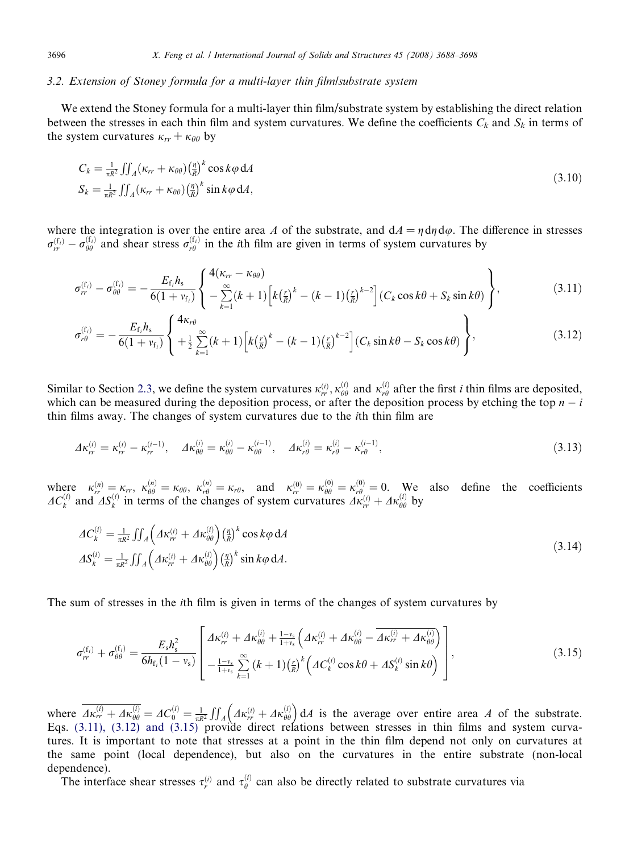## 3.2. Extension of Stoney formula for a multi-layer thin film/substrate system

We extend the Stoney formula for a multi-layer thin film/substrate system by establishing the direct relation between the stresses in each thin film and system curvatures. We define the coefficients  $C_k$  and  $S_k$  in terms of the system curvatures  $\kappa_{rr} + \kappa_{\theta\theta}$  by

$$
C_k = \frac{1}{\pi R^2} \iint_A (\kappa_{rr} + \kappa_{\theta\theta}) \left(\frac{n}{R}\right)^k \cos k\varphi \, dA
$$
  

$$
S_k = \frac{1}{\pi R^2} \iint_A (\kappa_{rr} + \kappa_{\theta\theta}) \left(\frac{n}{R}\right)^k \sin k\varphi \, dA,
$$
 (3.10)

where the integration is over the entire area A of the substrate, and  $dA = \eta d\eta d\varphi$ . The difference in stresses  $\sigma_{rr}^{(f_i)} - \sigma_{\theta\theta}^{(f_i)}$  and shear stress  $\sigma_{r\theta}^{(f_i)}$  in the *i*th film are given in terms of system curvatures by

$$
\sigma_{rr}^{(f_i)} - \sigma_{\theta\theta}^{(f_i)} = -\frac{E_{f_i} h_s}{6(1 + v_{f_i})} \left\{ \frac{4(\kappa_{rr} - \kappa_{\theta\theta})}{-\sum_{k=1}^{\infty} (k+1) \left[ k \left( \frac{r}{k} \right)^k - (k-1) \left( \frac{r}{k} \right)^{k-2} \right] (C_k \cos k\theta + S_k \sin k\theta) \right\},
$$
\n(3.11)

$$
\sigma_{r\theta}^{(f_i)} = -\frac{E_{f_i} h_s}{6(1 + v_{f_i})} \left\{ \frac{4\kappa_{r\theta}}{+\frac{1}{2} \sum_{k=1}^{\infty} (k+1) \left[ k \left( \frac{r}{R} \right)^k - (k-1) \left( \frac{r}{R} \right)^{k-2} \right] (C_k \sin k\theta - S_k \cos k\theta) \right\},
$$
\n(3.12)

Similar to Section [2.3,](#page-5-0) we define the system curvatures  $\kappa_n^{(i)}$ ,  $\kappa_{\theta\theta}^{(i)}$  and  $\kappa_{r\theta}^{(i)}$  after the first *i* thin films are deposited, which can be measured during the deposition process, or after the deposition process by etching the top  $n - i$ thin films away. The changes of system curvatures due to the ith thin film are

$$
A\kappa_{rr}^{(i)} = \kappa_{rr}^{(i)} - \kappa_{rr}^{(i-1)}, \quad A\kappa_{\theta\theta}^{(i)} = \kappa_{\theta\theta}^{(i)} - \kappa_{\theta\theta}^{(i-1)}, \quad A\kappa_{r\theta}^{(i)} = \kappa_{r\theta}^{(i)} - \kappa_{r\theta}^{(i-1)}, \tag{3.13}
$$

where  $\kappa_n^{(n)} = \kappa_r$ ,  $\kappa_{\theta\theta}^{(n)} = \kappa_{\theta\theta}$ ,  $\kappa_{r\theta}^{(n)} = \kappa_{r\theta}$ , and  $\kappa_{rr}^{(0)} = \kappa_{\theta\theta}^{(0)} = \kappa_{r\theta}^{(0)} = 0$ . We also define the coefficients  $AC_k^{(i)}$  and  $AS_k^{(i)}$  in terms of the changes of system curvatures  $AK_{rr}^{(i)} + Ak_{\theta\theta}^{(i)}$  by

$$
\Delta C_k^{(i)} = \frac{1}{\pi R^2} \iint_A \left( A \kappa_{rr}^{(i)} + A \kappa_{\theta\theta}^{(i)} \right) \left( \frac{\eta}{R} \right)^k \cos k\varphi \, dA
$$
\n
$$
\Delta S_k^{(i)} = \frac{1}{\pi R^2} \iint_A \left( A \kappa_{rr}^{(i)} + A \kappa_{\theta\theta}^{(i)} \right) \left( \frac{\eta}{R} \right)^k \sin k\varphi \, dA.
$$
\n(3.14)

The sum of stresses in the ith film is given in terms of the changes of system curvatures by

$$
\sigma_{rr}^{(f_i)} + \sigma_{\theta\theta}^{(f_i)} = \frac{E_s h_s^2}{6h_{f_i}(1 - v_s)} \left[ \frac{A\kappa_{rr}^{(i)} + A\kappa_{\theta\theta}^{(i)} + \frac{1 - v_s}{1 + v_s} \left( A\kappa_{rr}^{(i)} + A\kappa_{\theta\theta}^{(i)} - \overline{A\kappa_{rr}^{(i)} + A\kappa_{\theta\theta}^{(i)}} \right) \right],
$$
\n(3.15)

where  $\Delta \kappa_{rr}^{(i)} + \Delta \kappa_{\theta\theta}^{(i)} = \Delta C_0^{(i)} = \frac{1}{\pi R^2}$  $\iint_A \left( 4\kappa_{rr}^{(i)} + 4\kappa_{\theta\theta}^{(i)} \right) dA$  is the average over entire area A of the substrate. Eqs. (3.11), (3.12) and (3.15) provide direct relations between stresses in thin films and system curvatures. It is important to note that stresses at a point in the thin film depend not only on curvatures at the same point (local dependence), but also on the curvatures in the entire substrate (non-local dependence).

The interface shear stresses  $\tau_r^{(i)}$  and  $\tau_\theta^{(i)}$  can also be directly related to substrate curvatures via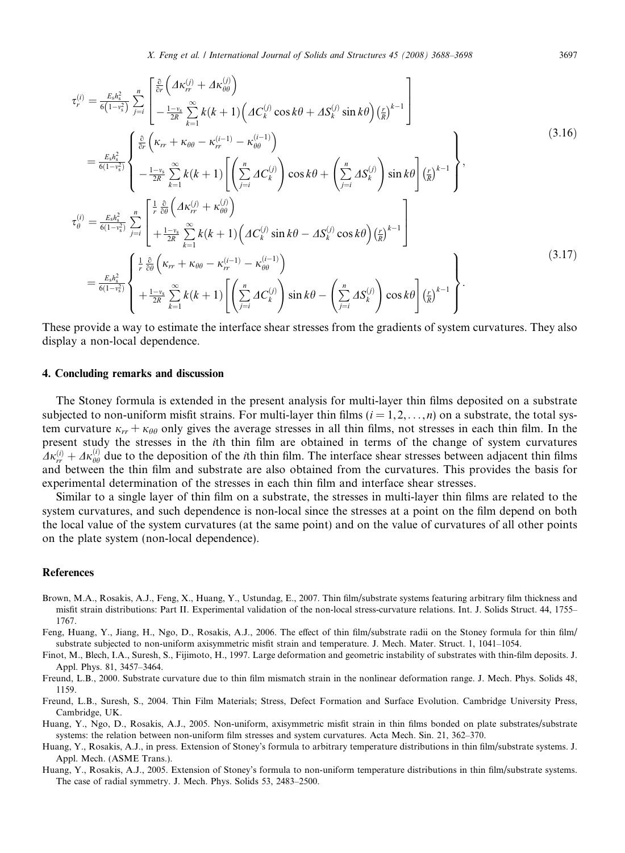<span id="page-9-0"></span>
$$
\tau_r^{(i)} = \frac{\varepsilon_s h_s^2}{6(1-s_s^2)} \sum_{j=i}^n \left[ \frac{\frac{\partial}{\partial r} \left( A \kappa_{rr}^{(j)} + A \kappa_{\theta \theta}^{(j)} \right)}{-\frac{1-s_s}{2R} \sum_{k=1}^\infty k(k+1) \left( A C_k^{(j)} \cos k\theta + A S_k^{(j)} \sin k\theta \right) \left( \frac{r}{R} \right)^{k-1}} \right]
$$
\n
$$
= \frac{\varepsilon_s h_s^2}{6(1-s_s^2)} \left\{ \frac{\frac{\partial}{\partial r} \left( \kappa_{rr} + \kappa_{\theta \theta} - \kappa_{rr}^{(i-1)} - \kappa_{\theta \theta}^{(i-1)} \right)}{-\frac{1-s_s}{2R} \sum_{k=1}^\infty k(k+1) \left[ \left( \sum_{j=i}^n A C_k^{(j)} \right) \cos k\theta + \left( \sum_{j=i}^n A S_k^{(j)} \right) \sin k\theta \right] \left( \frac{r}{R} \right)^{k-1}} \right\},\
$$
\n
$$
\tau_\theta^{(i)} = \frac{\varepsilon_s h_s^2}{6(1-s_s^2)} \sum_{j=i}^n \left[ \frac{\frac{1}{r} \frac{\partial}{\partial \theta} \left( A \kappa_{rr}^{(j)} + \kappa_{\theta \theta}^{(j)} \right)}{+ \frac{1-s_s}{2R} \sum_{k=1}^\infty k(k+1) \left( A C_k^{(j)} \sin k\theta - A S_k^{(j)} \cos k\theta \right) \left( \frac{r}{R} \right)^{k-1}} \right]
$$
\n
$$
= \frac{\varepsilon_s h_s^2}{6(1-s_s^2)} \left\{ \frac{\frac{1}{r} \frac{\partial}{\partial \theta} \left( \kappa_{rr} + \kappa_{\theta \theta} - \kappa_{rr}^{(i-1)} - \kappa_{\theta \theta}^{(i-1)} \right)}{\left( \frac{1}{r} \sum_{k=1}^\infty A C_k^{(j)} \right) \sin k\theta - \left( \sum_{j=i}^n A S_k^{(j)} \right) \cos k\theta \right] \left( \frac{r}{R} \right)^{k-1}} \right\}.
$$
\n(3.17)

These provide a way to estimate the interface shear stresses from the gradients of system curvatures. They also display a non-local dependence.

# 4. Concluding remarks and discussion

The Stoney formula is extended in the present analysis for multi-layer thin films deposited on a substrate subjected to non-uniform misfit strains. For multi-layer thin films  $(i = 1, 2, \ldots, n)$  on a substrate, the total system curvature  $\kappa_{rr} + \kappa_{\theta\theta}$  only gives the average stresses in all thin films, not stresses in each thin film. In the present study the stresses in the ith thin film are obtained in terms of the change of system curvatures  $A\kappa_n^{(i)} + A\kappa_{\theta\theta}^{(i)}$  due to the deposition of the *i*th thin film. The interface shear stresses between adjacent thin films and between the thin film and substrate are also obtained from the curvatures. This provides the basis for experimental determination of the stresses in each thin film and interface shear stresses.

Similar to a single layer of thin film on a substrate, the stresses in multi-layer thin films are related to the system curvatures, and such dependence is non-local since the stresses at a point on the film depend on both the local value of the system curvatures (at the same point) and on the value of curvatures of all other points on the plate system (non-local dependence).

## References

- Brown, M.A., Rosakis, A.J., Feng, X., Huang, Y., Ustundag, E., 2007. Thin film/substrate systems featuring arbitrary film thickness and misfit strain distributions: Part II. Experimental validation of the non-local stress-curvature relations. Int. J. Solids Struct. 44, 1755– 1767.
- Feng, Huang, Y., Jiang, H., Ngo, D., Rosakis, A.J., 2006. The effect of thin film/substrate radii on the Stoney formula for thin film/ substrate subjected to non-uniform axisymmetric misfit strain and temperature. J. Mech. Mater. Struct. 1, 1041–1054.
- Finot, M., Blech, I.A., Suresh, S., Fijimoto, H., 1997. Large deformation and geometric instability of substrates with thin-film deposits. J. Appl. Phys. 81, 3457–3464.
- Freund, L.B., 2000. Substrate curvature due to thin film mismatch strain in the nonlinear deformation range. J. Mech. Phys. Solids 48, 1159.
- Freund, L.B., Suresh, S., 2004. Thin Film Materials; Stress, Defect Formation and Surface Evolution. Cambridge University Press, Cambridge, UK.
- Huang, Y., Ngo, D., Rosakis, A.J., 2005. Non-uniform, axisymmetric misfit strain in thin films bonded on plate substrates/substrate systems: the relation between non-uniform film stresses and system curvatures. Acta Mech. Sin. 21, 362–370.
- Huang, Y., Rosakis, A.J., in press. Extension of Stoney's formula to arbitrary temperature distributions in thin film/substrate systems. J. Appl. Mech. (ASME Trans.).
- Huang, Y., Rosakis, A.J., 2005. Extension of Stoney's formula to non-uniform temperature distributions in thin film/substrate systems. The case of radial symmetry. J. Mech. Phys. Solids 53, 2483–2500.